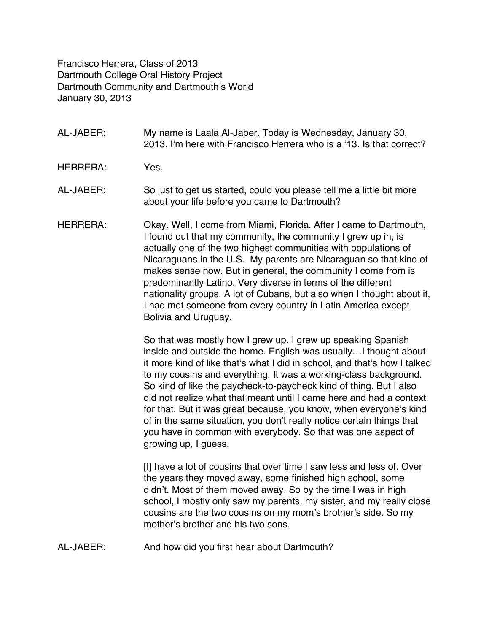Francisco Herrera, Class of 2013 Dartmouth College Oral History Project Dartmouth Community and Dartmouth's World January 30, 2013

- AL-JABER: My name is Laala Al-Jaber. Today is Wednesday, January 30, 2013. I'm here with Francisco Herrera who is a '13. Is that correct?
- HERRERA: Yes.
- AL-JABER: So just to get us started, could you please tell me a little bit more about your life before you came to Dartmouth?
- HERRERA: Okay. Well, I come from Miami, Florida. After I came to Dartmouth, I found out that my community, the community I grew up in, is actually one of the two highest communities with populations of Nicaraguans in the U.S. My parents are Nicaraguan so that kind of makes sense now. But in general, the community I come from is predominantly Latino. Very diverse in terms of the different nationality groups. A lot of Cubans, but also when I thought about it, I had met someone from every country in Latin America except Bolivia and Uruguay.

So that was mostly how I grew up. I grew up speaking Spanish inside and outside the home. English was usually…I thought about it more kind of like that's what I did in school, and that's how I talked to my cousins and everything. It was a working-class background. So kind of like the paycheck-to-paycheck kind of thing. But I also did not realize what that meant until I came here and had a context for that. But it was great because, you know, when everyone's kind of in the same situation, you don't really notice certain things that you have in common with everybody. So that was one aspect of growing up, I guess.

[I] have a lot of cousins that over time I saw less and less of. Over the years they moved away, some finished high school, some didn't. Most of them moved away. So by the time I was in high school, I mostly only saw my parents, my sister, and my really close cousins are the two cousins on my mom's brother's side. So my mother's brother and his two sons.

AL-JABER: And how did you first hear about Dartmouth?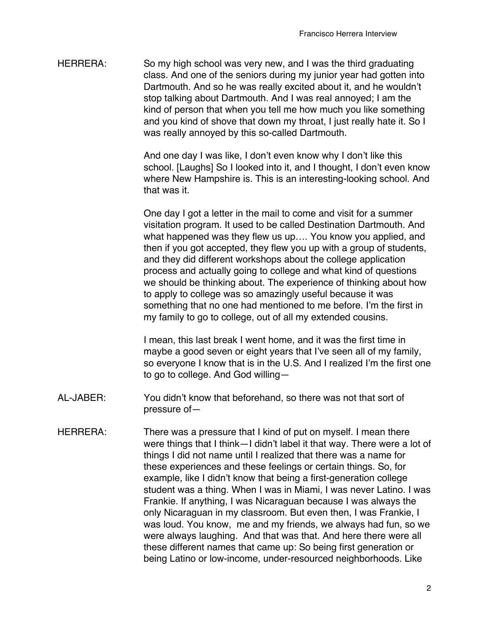HERRERA: So my high school was very new, and I was the third graduating class. And one of the seniors during my junior year had gotten into Dartmouth. And so he was really excited about it, and he wouldn't stop talking about Dartmouth. And I was real annoyed; I am the kind of person that when you tell me how much you like something and you kind of shove that down my throat, I just really hate it. So I was really annoyed by this so-called Dartmouth.

> And one day I was like, I don't even know why I don't like this school. [Laughs] So I looked into it, and I thought, I don't even know where New Hampshire is. This is an interesting-looking school. And that was it.

One day I got a letter in the mail to come and visit for a summer visitation program. It used to be called Destination Dartmouth. And what happened was they flew us up…. You know you applied, and then if you got accepted, they flew you up with a group of students, and they did different workshops about the college application process and actually going to college and what kind of questions we should be thinking about. The experience of thinking about how to apply to college was so amazingly useful because it was something that no one had mentioned to me before. I'm the first in my family to go to college, out of all my extended cousins.

I mean, this last break I went home, and it was the first time in maybe a good seven or eight years that I've seen all of my family, so everyone I know that is in the U.S. And I realized I'm the first one to go to college. And God willing—

- AL-JABER: You didn't know that beforehand, so there was not that sort of pressure of—
- HERRERA: There was a pressure that I kind of put on myself. I mean there were things that I think—I didn't label it that way. There were a lot of things I did not name until I realized that there was a name for these experiences and these feelings or certain things. So, for example, like I didn't know that being a first-generation college student was a thing. When I was in Miami, I was never Latino. I was Frankie. If anything, I was Nicaraguan because I was always the only Nicaraguan in my classroom. But even then, I was Frankie, I was loud. You know, me and my friends, we always had fun, so we were always laughing. And that was that. And here there were all these different names that came up: So being first generation or being Latino or low-income, under-resourced neighborhoods. Like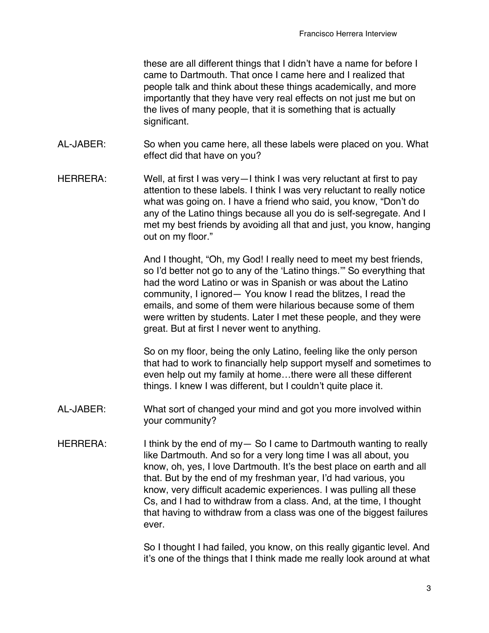these are all different things that I didn't have a name for before I came to Dartmouth. That once I came here and I realized that people talk and think about these things academically, and more importantly that they have very real effects on not just me but on the lives of many people, that it is something that is actually significant.

- AL-JABER: So when you came here, all these labels were placed on you. What effect did that have on you?
- HERRERA: Well, at first I was very—I think I was very reluctant at first to pay attention to these labels. I think I was very reluctant to really notice what was going on. I have a friend who said, you know, "Don't do any of the Latino things because all you do is self-segregate. And I met my best friends by avoiding all that and just, you know, hanging out on my floor."

And I thought, "Oh, my God! I really need to meet my best friends, so I'd better not go to any of the ʻLatino things.'" So everything that had the word Latino or was in Spanish or was about the Latino community, I ignored— You know I read the blitzes, I read the emails, and some of them were hilarious because some of them were written by students. Later I met these people, and they were great. But at first I never went to anything.

So on my floor, being the only Latino, feeling like the only person that had to work to financially help support myself and sometimes to even help out my family at home…there were all these different things. I knew I was different, but I couldn't quite place it.

- AL-JABER: What sort of changed your mind and got you more involved within your community?
- HERRERA: I think by the end of my-So I came to Dartmouth wanting to really like Dartmouth. And so for a very long time I was all about, you know, oh, yes, I love Dartmouth. It's the best place on earth and all that. But by the end of my freshman year, I'd had various, you know, very difficult academic experiences. I was pulling all these Cs, and I had to withdraw from a class. And, at the time, I thought that having to withdraw from a class was one of the biggest failures ever.

So I thought I had failed, you know, on this really gigantic level. And it's one of the things that I think made me really look around at what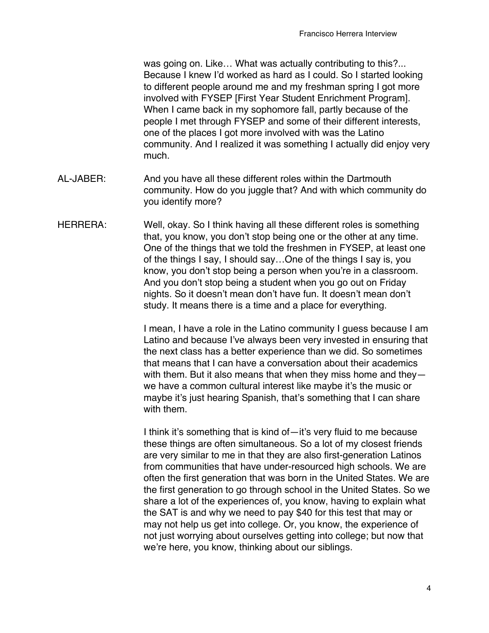was going on. Like… What was actually contributing to this?... Because I knew I'd worked as hard as I could. So I started looking to different people around me and my freshman spring I got more involved with FYSEP [First Year Student Enrichment Program]. When I came back in my sophomore fall, partly because of the people I met through FYSEP and some of their different interests, one of the places I got more involved with was the Latino community. And I realized it was something I actually did enjoy very much.

- AL-JABER: And you have all these different roles within the Dartmouth community. How do you juggle that? And with which community do you identify more?
- HERRERA: Well, okay. So I think having all these different roles is something that, you know, you don't stop being one or the other at any time. One of the things that we told the freshmen in FYSEP, at least one of the things I say, I should say…One of the things I say is, you know, you don't stop being a person when you're in a classroom. And you don't stop being a student when you go out on Friday nights. So it doesn't mean don't have fun. It doesn't mean don't study. It means there is a time and a place for everything.

I mean, I have a role in the Latino community I guess because I am Latino and because I've always been very invested in ensuring that the next class has a better experience than we did. So sometimes that means that I can have a conversation about their academics with them. But it also means that when they miss home and they we have a common cultural interest like maybe it's the music or maybe it's just hearing Spanish, that's something that I can share with them.

I think it's something that is kind of—it's very fluid to me because these things are often simultaneous. So a lot of my closest friends are very similar to me in that they are also first-generation Latinos from communities that have under-resourced high schools. We are often the first generation that was born in the United States. We are the first generation to go through school in the United States. So we share a lot of the experiences of, you know, having to explain what the SAT is and why we need to pay \$40 for this test that may or may not help us get into college. Or, you know, the experience of not just worrying about ourselves getting into college; but now that we're here, you know, thinking about our siblings.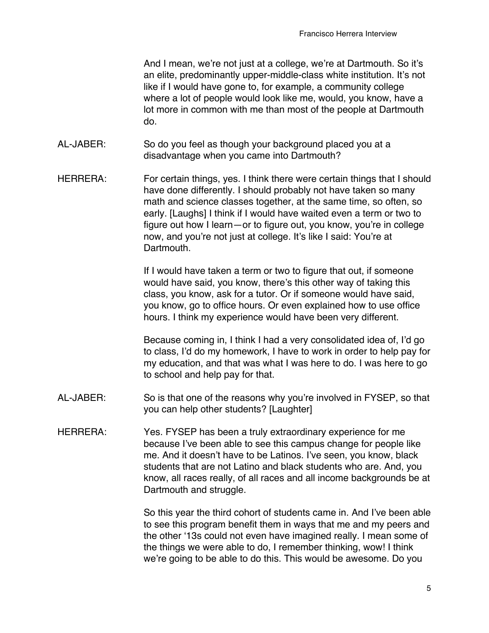And I mean, we're not just at a college, we're at Dartmouth. So it's an elite, predominantly upper-middle-class white institution. It's not like if I would have gone to, for example, a community college where a lot of people would look like me, would, you know, have a lot more in common with me than most of the people at Dartmouth do.

- AL-JABER: So do you feel as though your background placed you at a disadvantage when you came into Dartmouth?
- HERRERA: For certain things, yes. I think there were certain things that I should have done differently. I should probably not have taken so many math and science classes together, at the same time, so often, so early. [Laughs] I think if I would have waited even a term or two to figure out how I learn—or to figure out, you know, you're in college now, and you're not just at college. It's like I said: You're at Dartmouth.

If I would have taken a term or two to figure that out, if someone would have said, you know, there's this other way of taking this class, you know, ask for a tutor. Or if someone would have said, you know, go to office hours. Or even explained how to use office hours. I think my experience would have been very different.

Because coming in, I think I had a very consolidated idea of, I'd go to class, I'd do my homework, I have to work in order to help pay for my education, and that was what I was here to do. I was here to go to school and help pay for that.

- AL-JABER: So is that one of the reasons why you're involved in FYSEP, so that you can help other students? [Laughter]
- HERRERA: Yes. FYSEP has been a truly extraordinary experience for me because I've been able to see this campus change for people like me. And it doesn't have to be Latinos. I've seen, you know, black students that are not Latino and black students who are. And, you know, all races really, of all races and all income backgrounds be at Dartmouth and struggle.

So this year the third cohort of students came in. And I've been able to see this program benefit them in ways that me and my peers and the other ʻ13s could not even have imagined really. I mean some of the things we were able to do, I remember thinking, wow! I think we're going to be able to do this. This would be awesome. Do you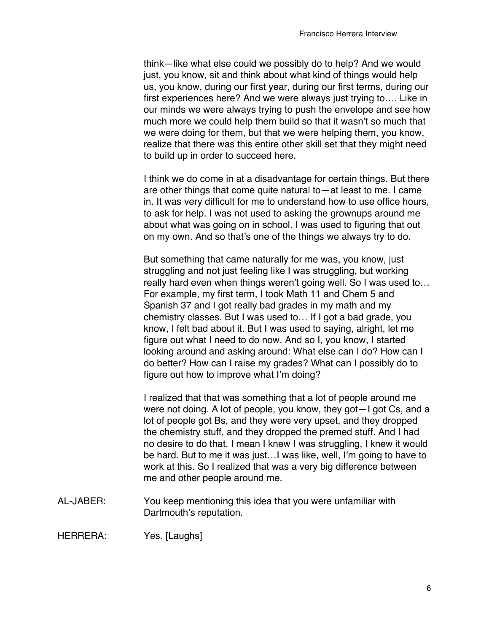think—like what else could we possibly do to help? And we would just, you know, sit and think about what kind of things would help us, you know, during our first year, during our first terms, during our first experiences here? And we were always just trying to…. Like in our minds we were always trying to push the envelope and see how much more we could help them build so that it wasn't so much that we were doing for them, but that we were helping them, you know, realize that there was this entire other skill set that they might need to build up in order to succeed here.

I think we do come in at a disadvantage for certain things. But there are other things that come quite natural to—at least to me. I came in. It was very difficult for me to understand how to use office hours, to ask for help. I was not used to asking the grownups around me about what was going on in school. I was used to figuring that out on my own. And so that's one of the things we always try to do.

But something that came naturally for me was, you know, just struggling and not just feeling like I was struggling, but working really hard even when things weren't going well. So I was used to… For example, my first term, I took Math 11 and Chem 5 and Spanish 37 and I got really bad grades in my math and my chemistry classes. But I was used to… If I got a bad grade, you know, I felt bad about it. But I was used to saying, alright, let me figure out what I need to do now. And so I, you know, I started looking around and asking around: What else can I do? How can I do better? How can I raise my grades? What can I possibly do to figure out how to improve what I'm doing?

I realized that that was something that a lot of people around me were not doing. A lot of people, you know, they got—I got Cs, and a lot of people got Bs, and they were very upset, and they dropped the chemistry stuff, and they dropped the premed stuff. And I had no desire to do that. I mean I knew I was struggling, I knew it would be hard. But to me it was just…I was like, well, I'm going to have to work at this. So I realized that was a very big difference between me and other people around me.

AL-JABER: You keep mentioning this idea that you were unfamiliar with Dartmouth's reputation.

HERRERA: Yes. [Laughs]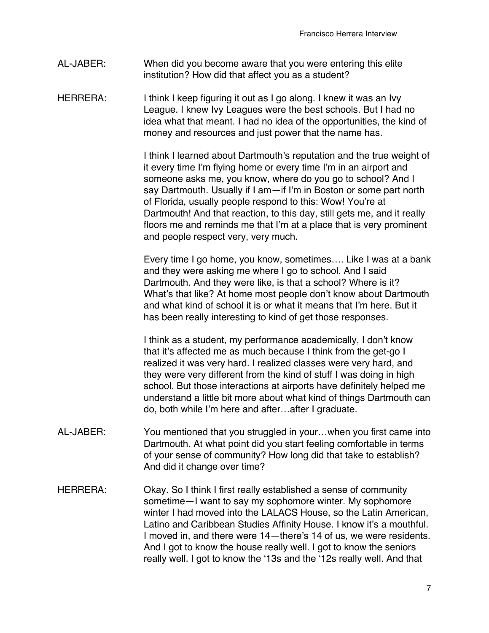- AL-JABER: When did you become aware that you were entering this elite institution? How did that affect you as a student?
- HERRERA: I think I keep figuring it out as I go along. I knew it was an Ivy League. I knew Ivy Leagues were the best schools. But I had no idea what that meant. I had no idea of the opportunities, the kind of money and resources and just power that the name has.

I think I learned about Dartmouth's reputation and the true weight of it every time I'm flying home or every time I'm in an airport and someone asks me, you know, where do you go to school? And I say Dartmouth. Usually if I am—if I'm in Boston or some part north of Florida, usually people respond to this: Wow! You're at Dartmouth! And that reaction, to this day, still gets me, and it really floors me and reminds me that I'm at a place that is very prominent and people respect very, very much.

Every time I go home, you know, sometimes…. Like I was at a bank and they were asking me where I go to school. And I said Dartmouth. And they were like, is that a school? Where is it? What's that like? At home most people don't know about Dartmouth and what kind of school it is or what it means that I'm here. But it has been really interesting to kind of get those responses.

I think as a student, my performance academically, I don't know that it's affected me as much because I think from the get-go I realized it was very hard. I realized classes were very hard, and they were very different from the kind of stuff I was doing in high school. But those interactions at airports have definitely helped me understand a little bit more about what kind of things Dartmouth can do, both while I'm here and after…after I graduate.

- AL-JABER: You mentioned that you struggled in your…when you first came into Dartmouth. At what point did you start feeling comfortable in terms of your sense of community? How long did that take to establish? And did it change over time?
- HERRERA: Okay. So I think I first really established a sense of community sometime—I want to say my sophomore winter. My sophomore winter I had moved into the LALACS House, so the Latin American, Latino and Caribbean Studies Affinity House. I know it's a mouthful. I moved in, and there were 14—there's 14 of us, we were residents. And I got to know the house really well. I got to know the seniors really well. I got to know the ʻ13s and the ʻ12s really well. And that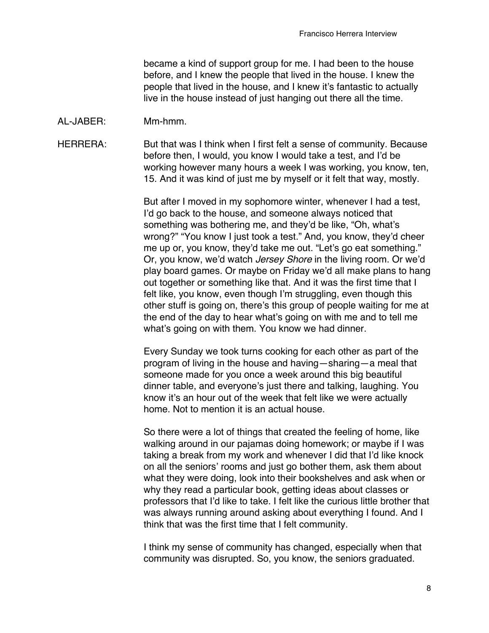became a kind of support group for me. I had been to the house before, and I knew the people that lived in the house. I knew the people that lived in the house, and I knew it's fantastic to actually live in the house instead of just hanging out there all the time.

AL-JABER: Mm-hmm.

HERRERA: But that was I think when I first felt a sense of community. Because before then, I would, you know I would take a test, and I'd be working however many hours a week I was working, you know, ten, 15. And it was kind of just me by myself or it felt that way, mostly.

> But after I moved in my sophomore winter, whenever I had a test, I'd go back to the house, and someone always noticed that something was bothering me, and they'd be like, "Oh, what's wrong?" "You know I just took a test." And, you know, they'd cheer me up or, you know, they'd take me out. "Let's go eat something." Or, you know, we'd watch *Jersey Shore* in the living room. Or we'd play board games. Or maybe on Friday we'd all make plans to hang out together or something like that. And it was the first time that I felt like, you know, even though I'm struggling, even though this other stuff is going on, there's this group of people waiting for me at the end of the day to hear what's going on with me and to tell me what's going on with them. You know we had dinner.

Every Sunday we took turns cooking for each other as part of the program of living in the house and having—sharing—a meal that someone made for you once a week around this big beautiful dinner table, and everyone's just there and talking, laughing. You know it's an hour out of the week that felt like we were actually home. Not to mention it is an actual house.

So there were a lot of things that created the feeling of home, like walking around in our pajamas doing homework; or maybe if I was taking a break from my work and whenever I did that I'd like knock on all the seniors' rooms and just go bother them, ask them about what they were doing, look into their bookshelves and ask when or why they read a particular book, getting ideas about classes or professors that I'd like to take. I felt like the curious little brother that was always running around asking about everything I found. And I think that was the first time that I felt community.

I think my sense of community has changed, especially when that community was disrupted. So, you know, the seniors graduated.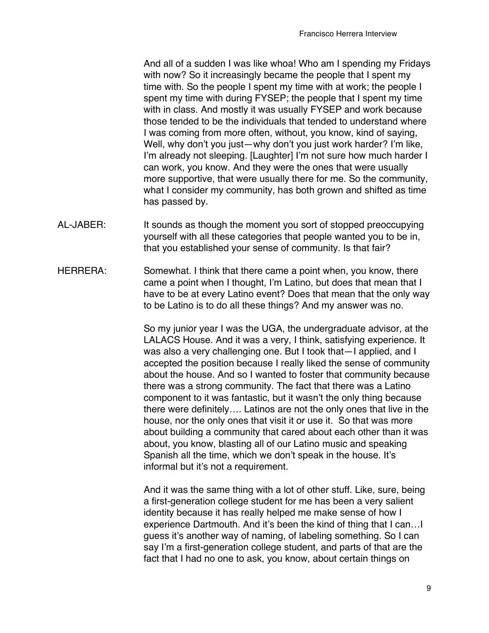And all of a sudden I was like whoa! Who am I spending my Fridays with now? So it increasingly became the people that I spent my time with. So the people I spent my time with at work; the people I spent my time with during FYSEP; the people that I spent my time with in class. And mostly it was usually FYSEP and work because those tended to be the individuals that tended to understand where I was coming from more often, without, you know, kind of saying, Well, why don't you just—why don't you just work harder? I'm like, I'm already not sleeping. [Laughter] I'm not sure how much harder I can work, you know. And they were the ones that were usually more supportive, that were usually there for me. So the community, what I consider my community, has both grown and shifted as time has passed by.

- AL-JABER: It sounds as though the moment you sort of stopped preoccupying yourself with all these categories that people wanted you to be in, that you established your sense of community. Is that fair?
- HERRERA: Somewhat. I think that there came a point when, you know, there came a point when I thought, I'm Latino, but does that mean that I have to be at every Latino event? Does that mean that the only way to be Latino is to do all these things? And my answer was no.

So my junior year I was the UGA, the undergraduate advisor, at the LALACS House. And it was a very, I think, satisfying experience. It was also a very challenging one. But I took that—I applied, and I accepted the position because I really liked the sense of community about the house. And so I wanted to foster that community because there was a strong community. The fact that there was a Latino component to it was fantastic, but it wasn't the only thing because there were definitely…. Latinos are not the only ones that live in the house, nor the only ones that visit it or use it. So that was more about building a community that cared about each other than it was about, you know, blasting all of our Latino music and speaking Spanish all the time, which we don't speak in the house. It's informal but it's not a requirement.

And it was the same thing with a lot of other stuff. Like, sure, being a first-generation college student for me has been a very salient identity because it has really helped me make sense of how I experience Dartmouth. And it's been the kind of thing that I can…I guess it's another way of naming, of labeling something. So I can say I'm a first-generation college student, and parts of that are the fact that I had no one to ask, you know, about certain things on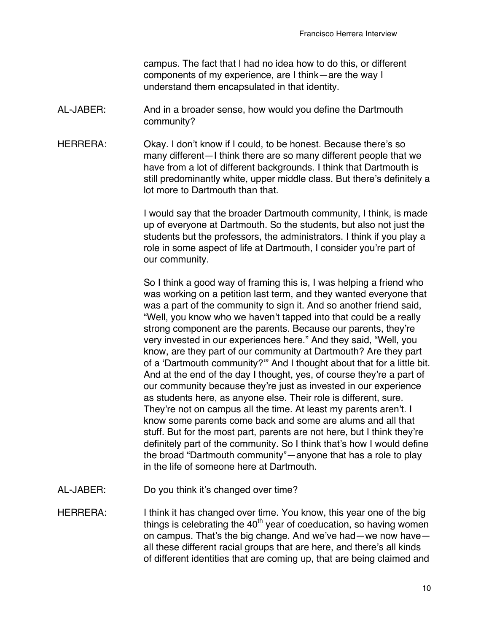campus. The fact that I had no idea how to do this, or different components of my experience, are I think—are the way I understand them encapsulated in that identity.

- AL-JABER: And in a broader sense, how would you define the Dartmouth community?
- HERRERA: Okay. I don't know if I could, to be honest. Because there's so many different—I think there are so many different people that we have from a lot of different backgrounds. I think that Dartmouth is still predominantly white, upper middle class. But there's definitely a lot more to Dartmouth than that.

I would say that the broader Dartmouth community, I think, is made up of everyone at Dartmouth. So the students, but also not just the students but the professors, the administrators. I think if you play a role in some aspect of life at Dartmouth, I consider you're part of our community.

So I think a good way of framing this is, I was helping a friend who was working on a petition last term, and they wanted everyone that was a part of the community to sign it. And so another friend said, "Well, you know who we haven't tapped into that could be a really strong component are the parents. Because our parents, they're very invested in our experiences here." And they said, "Well, you know, are they part of our community at Dartmouth? Are they part of a ʻDartmouth community?'" And I thought about that for a little bit. And at the end of the day I thought, yes, of course they're a part of our community because they're just as invested in our experience as students here, as anyone else. Their role is different, sure. They're not on campus all the time. At least my parents aren't. I know some parents come back and some are alums and all that stuff. But for the most part, parents are not here, but I think they're definitely part of the community. So I think that's how I would define the broad "Dartmouth community"—anyone that has a role to play in the life of someone here at Dartmouth.

- AL-JABER: Do you think it's changed over time?
- HERRERA: I think it has changed over time. You know, this year one of the big things is celebrating the  $40<sup>th</sup>$  year of coeducation, so having women on campus. That's the big change. And we've had—we now have all these different racial groups that are here, and there's all kinds of different identities that are coming up, that are being claimed and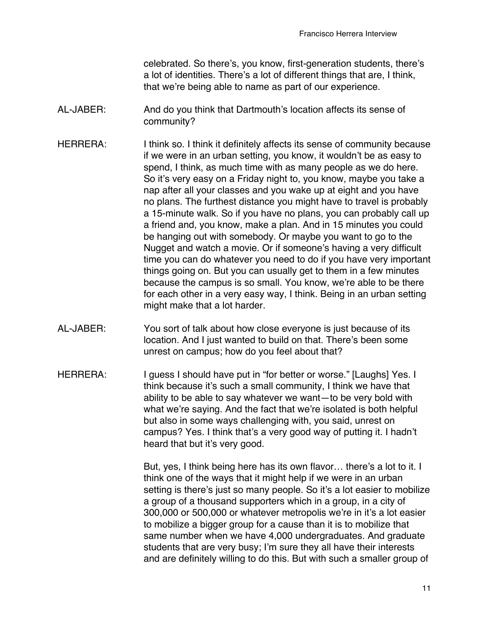celebrated. So there's, you know, first-generation students, there's a lot of identities. There's a lot of different things that are, I think, that we're being able to name as part of our experience.

- AL-JABER: And do you think that Dartmouth's location affects its sense of community?
- HERRERA: I think so. I think it definitely affects its sense of community because if we were in an urban setting, you know, it wouldn't be as easy to spend, I think, as much time with as many people as we do here. So it's very easy on a Friday night to, you know, maybe you take a nap after all your classes and you wake up at eight and you have no plans. The furthest distance you might have to travel is probably a 15-minute walk. So if you have no plans, you can probably call up a friend and, you know, make a plan. And in 15 minutes you could be hanging out with somebody. Or maybe you want to go to the Nugget and watch a movie. Or if someone's having a very difficult time you can do whatever you need to do if you have very important things going on. But you can usually get to them in a few minutes because the campus is so small. You know, we're able to be there for each other in a very easy way, I think. Being in an urban setting might make that a lot harder.
- AL-JABER: You sort of talk about how close everyone is just because of its location. And I just wanted to build on that. There's been some unrest on campus; how do you feel about that?
- HERRERA: I guess I should have put in "for better or worse." [Laughs] Yes. I think because it's such a small community, I think we have that ability to be able to say whatever we want—to be very bold with what we're saying. And the fact that we're isolated is both helpful but also in some ways challenging with, you said, unrest on campus? Yes. I think that's a very good way of putting it. I hadn't heard that but it's very good.

But, yes, I think being here has its own flavor… there's a lot to it. I think one of the ways that it might help if we were in an urban setting is there's just so many people. So it's a lot easier to mobilize a group of a thousand supporters which in a group, in a city of 300,000 or 500,000 or whatever metropolis we're in it's a lot easier to mobilize a bigger group for a cause than it is to mobilize that same number when we have 4,000 undergraduates. And graduate students that are very busy; I'm sure they all have their interests and are definitely willing to do this. But with such a smaller group of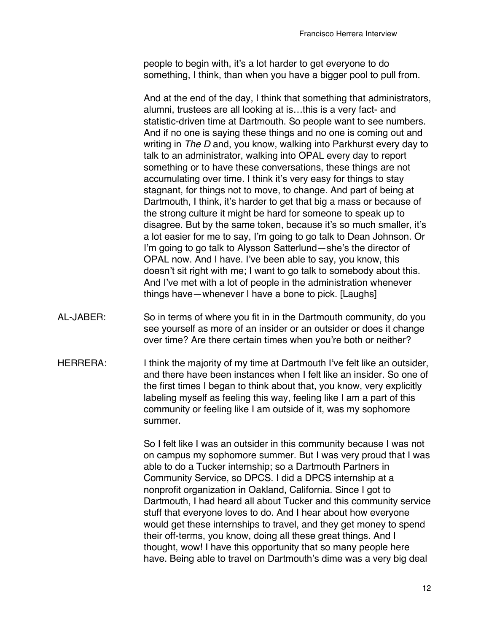people to begin with, it's a lot harder to get everyone to do something, I think, than when you have a bigger pool to pull from.

And at the end of the day, I think that something that administrators, alumni, trustees are all looking at is…this is a very fact- and statistic-driven time at Dartmouth. So people want to see numbers. And if no one is saying these things and no one is coming out and writing in *The D* and, you know, walking into Parkhurst every day to talk to an administrator, walking into OPAL every day to report something or to have these conversations, these things are not accumulating over time. I think it's very easy for things to stay stagnant, for things not to move, to change. And part of being at Dartmouth, I think, it's harder to get that big a mass or because of the strong culture it might be hard for someone to speak up to disagree. But by the same token, because it's so much smaller, it's a lot easier for me to say, I'm going to go talk to Dean Johnson. Or I'm going to go talk to Alysson Satterlund—she's the director of OPAL now. And I have. I've been able to say, you know, this doesn't sit right with me; I want to go talk to somebody about this. And I've met with a lot of people in the administration whenever things have—whenever I have a bone to pick. [Laughs]

- AL-JABER: So in terms of where you fit in in the Dartmouth community, do you see yourself as more of an insider or an outsider or does it change over time? Are there certain times when you're both or neither?
- HERRERA: I think the majority of my time at Dartmouth I've felt like an outsider, and there have been instances when I felt like an insider. So one of the first times I began to think about that, you know, very explicitly labeling myself as feeling this way, feeling like I am a part of this community or feeling like I am outside of it, was my sophomore summer.

So I felt like I was an outsider in this community because I was not on campus my sophomore summer. But I was very proud that I was able to do a Tucker internship; so a Dartmouth Partners in Community Service, so DPCS. I did a DPCS internship at a nonprofit organization in Oakland, California. Since I got to Dartmouth, I had heard all about Tucker and this community service stuff that everyone loves to do. And I hear about how everyone would get these internships to travel, and they get money to spend their off-terms, you know, doing all these great things. And I thought, wow! I have this opportunity that so many people here have. Being able to travel on Dartmouth's dime was a very big deal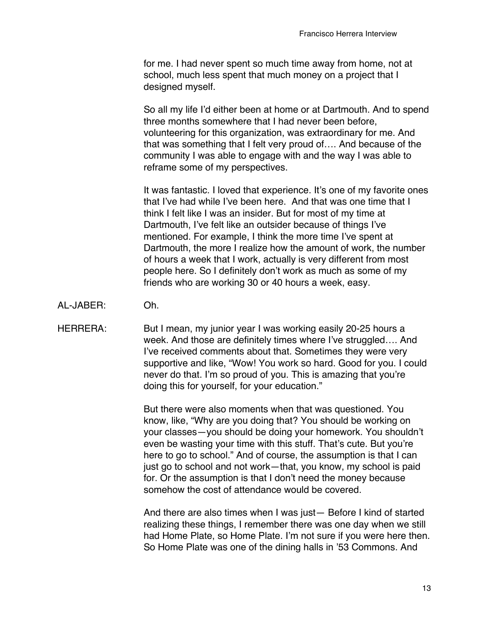for me. I had never spent so much time away from home, not at school, much less spent that much money on a project that I designed myself.

So all my life I'd either been at home or at Dartmouth. And to spend three months somewhere that I had never been before, volunteering for this organization, was extraordinary for me. And that was something that I felt very proud of…. And because of the community I was able to engage with and the way I was able to reframe some of my perspectives.

It was fantastic. I loved that experience. It's one of my favorite ones that I've had while I've been here. And that was one time that I think I felt like I was an insider. But for most of my time at Dartmouth, I've felt like an outsider because of things I've mentioned. For example, I think the more time I've spent at Dartmouth, the more I realize how the amount of work, the number of hours a week that I work, actually is very different from most people here. So I definitely don't work as much as some of my friends who are working 30 or 40 hours a week, easy.

AL-JABER: Oh.

HERRERA: But I mean, my junior year I was working easily 20-25 hours a week. And those are definitely times where I've struggled…. And I've received comments about that. Sometimes they were very supportive and like, "Wow! You work so hard. Good for you. I could never do that. I'm so proud of you. This is amazing that you're doing this for yourself, for your education."

> But there were also moments when that was questioned. You know, like, "Why are you doing that? You should be working on your classes—you should be doing your homework. You shouldn't even be wasting your time with this stuff. That's cute. But you're here to go to school." And of course, the assumption is that I can just go to school and not work—that, you know, my school is paid for. Or the assumption is that I don't need the money because somehow the cost of attendance would be covered.

And there are also times when I was just— Before I kind of started realizing these things, I remember there was one day when we still had Home Plate, so Home Plate. I'm not sure if you were here then. So Home Plate was one of the dining halls in '53 Commons. And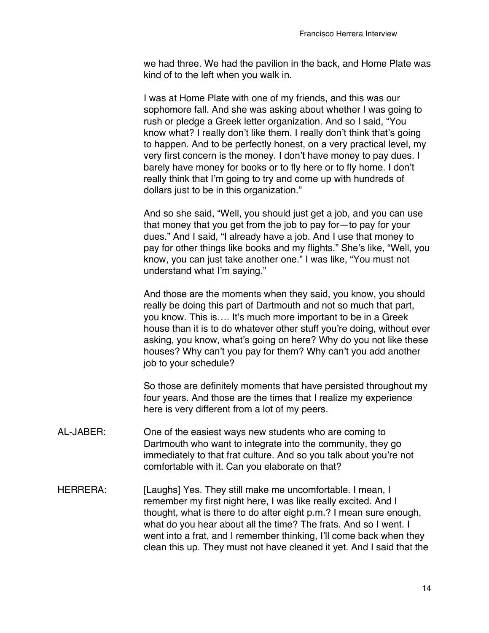we had three. We had the pavilion in the back, and Home Plate was kind of to the left when you walk in.

I was at Home Plate with one of my friends, and this was our sophomore fall. And she was asking about whether I was going to rush or pledge a Greek letter organization. And so I said, "You know what? I really don't like them. I really don't think that's going to happen. And to be perfectly honest, on a very practical level, my very first concern is the money. I don't have money to pay dues. I barely have money for books or to fly here or to fly home. I don't really think that I'm going to try and come up with hundreds of dollars just to be in this organization."

And so she said, "Well, you should just get a job, and you can use that money that you get from the job to pay for—to pay for your dues." And I said, "I already have a job. And I use that money to pay for other things like books and my flights." She's like, "Well, you know, you can just take another one." I was like, "You must not understand what I'm saying."

And those are the moments when they said, you know, you should really be doing this part of Dartmouth and not so much that part, you know. This is…. It's much more important to be in a Greek house than it is to do whatever other stuff you're doing, without ever asking, you know, what's going on here? Why do you not like these houses? Why can't you pay for them? Why can't you add another job to your schedule?

So those are definitely moments that have persisted throughout my four years. And those are the times that I realize my experience here is very different from a lot of my peers.

- AL-JABER: One of the easiest ways new students who are coming to Dartmouth who want to integrate into the community, they go immediately to that frat culture. And so you talk about you're not comfortable with it. Can you elaborate on that?
- HERRERA: [Laughs] Yes. They still make me uncomfortable. I mean, I remember my first night here, I was like really excited. And I thought, what is there to do after eight p.m.? I mean sure enough, what do you hear about all the time? The frats. And so I went. I went into a frat, and I remember thinking, I'll come back when they clean this up. They must not have cleaned it yet. And I said that the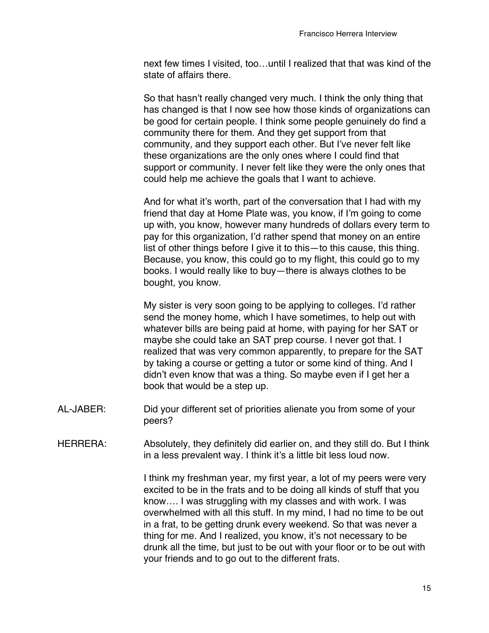next few times I visited, too…until I realized that that was kind of the state of affairs there.

So that hasn't really changed very much. I think the only thing that has changed is that I now see how those kinds of organizations can be good for certain people. I think some people genuinely do find a community there for them. And they get support from that community, and they support each other. But I've never felt like these organizations are the only ones where I could find that support or community. I never felt like they were the only ones that could help me achieve the goals that I want to achieve.

And for what it's worth, part of the conversation that I had with my friend that day at Home Plate was, you know, if I'm going to come up with, you know, however many hundreds of dollars every term to pay for this organization, I'd rather spend that money on an entire list of other things before I give it to this—to this cause, this thing. Because, you know, this could go to my flight, this could go to my books. I would really like to buy—there is always clothes to be bought, you know.

My sister is very soon going to be applying to colleges. I'd rather send the money home, which I have sometimes, to help out with whatever bills are being paid at home, with paying for her SAT or maybe she could take an SAT prep course. I never got that. I realized that was very common apparently, to prepare for the SAT by taking a course or getting a tutor or some kind of thing. And I didn't even know that was a thing. So maybe even if I get her a book that would be a step up.

- AL-JABER: Did your different set of priorities alienate you from some of your peers?
- HERRERA: Absolutely, they definitely did earlier on, and they still do. But I think in a less prevalent way. I think it's a little bit less loud now.

I think my freshman year, my first year, a lot of my peers were very excited to be in the frats and to be doing all kinds of stuff that you know…. I was struggling with my classes and with work. I was overwhelmed with all this stuff. In my mind, I had no time to be out in a frat, to be getting drunk every weekend. So that was never a thing for me. And I realized, you know, it's not necessary to be drunk all the time, but just to be out with your floor or to be out with your friends and to go out to the different frats.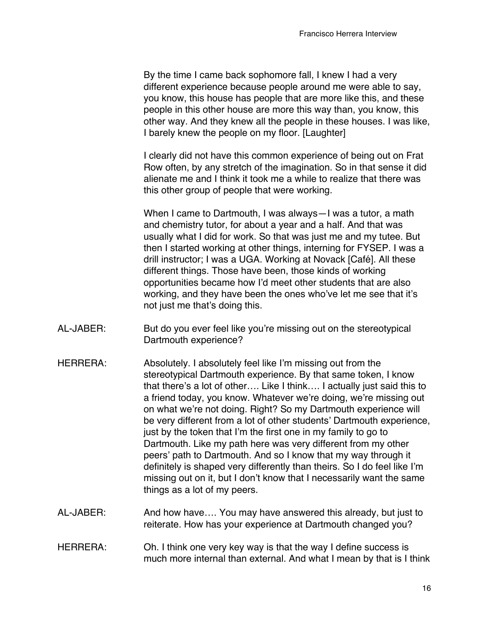By the time I came back sophomore fall, I knew I had a very different experience because people around me were able to say, you know, this house has people that are more like this, and these people in this other house are more this way than, you know, this other way. And they knew all the people in these houses. I was like, I barely knew the people on my floor. [Laughter]

I clearly did not have this common experience of being out on Frat Row often, by any stretch of the imagination. So in that sense it did alienate me and I think it took me a while to realize that there was this other group of people that were working.

When I came to Dartmouth, I was always—I was a tutor, a math and chemistry tutor, for about a year and a half. And that was usually what I did for work. So that was just me and my tutee. But then I started working at other things, interning for FYSEP. I was a drill instructor; I was a UGA. Working at Novack [Café]. All these different things. Those have been, those kinds of working opportunities became how I'd meet other students that are also working, and they have been the ones who've let me see that it's not just me that's doing this.

- AL-JABER: But do you ever feel like you're missing out on the stereotypical Dartmouth experience?
- HERRERA: Absolutely. I absolutely feel like I'm missing out from the stereotypical Dartmouth experience. By that same token, I know that there's a lot of other…. Like I think…. I actually just said this to a friend today, you know. Whatever we're doing, we're missing out on what we're not doing. Right? So my Dartmouth experience will be very different from a lot of other students' Dartmouth experience, just by the token that I'm the first one in my family to go to Dartmouth. Like my path here was very different from my other peers' path to Dartmouth. And so I know that my way through it definitely is shaped very differently than theirs. So I do feel like I'm missing out on it, but I don't know that I necessarily want the same things as a lot of my peers.
- AL-JABER: And how have…. You may have answered this already, but just to reiterate. How has your experience at Dartmouth changed you?
- HERRERA: Oh. I think one very key way is that the way I define success is much more internal than external. And what I mean by that is I think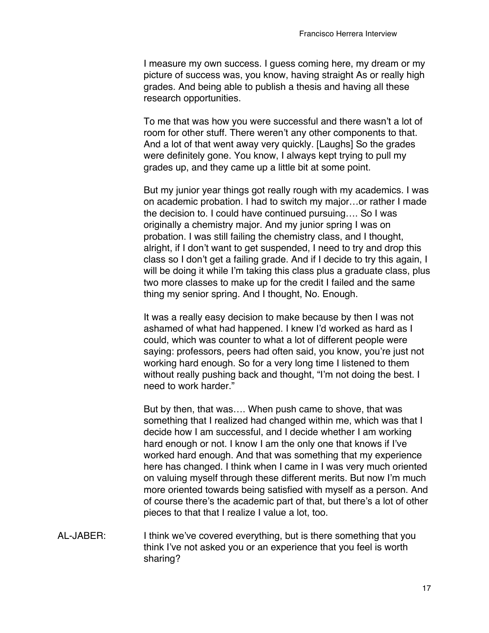I measure my own success. I guess coming here, my dream or my picture of success was, you know, having straight As or really high grades. And being able to publish a thesis and having all these research opportunities.

To me that was how you were successful and there wasn't a lot of room for other stuff. There weren't any other components to that. And a lot of that went away very quickly. [Laughs] So the grades were definitely gone. You know, I always kept trying to pull my grades up, and they came up a little bit at some point.

But my junior year things got really rough with my academics. I was on academic probation. I had to switch my major…or rather I made the decision to. I could have continued pursuing…. So I was originally a chemistry major. And my junior spring I was on probation. I was still failing the chemistry class, and I thought, alright, if I don't want to get suspended, I need to try and drop this class so I don't get a failing grade. And if I decide to try this again, I will be doing it while I'm taking this class plus a graduate class, plus two more classes to make up for the credit I failed and the same thing my senior spring. And I thought, No. Enough.

It was a really easy decision to make because by then I was not ashamed of what had happened. I knew I'd worked as hard as I could, which was counter to what a lot of different people were saying: professors, peers had often said, you know, you're just not working hard enough. So for a very long time I listened to them without really pushing back and thought, "I'm not doing the best. I need to work harder."

But by then, that was…. When push came to shove, that was something that I realized had changed within me, which was that I decide how I am successful, and I decide whether I am working hard enough or not. I know I am the only one that knows if I've worked hard enough. And that was something that my experience here has changed. I think when I came in I was very much oriented on valuing myself through these different merits. But now I'm much more oriented towards being satisfied with myself as a person. And of course there's the academic part of that, but there's a lot of other pieces to that that I realize I value a lot, too.

AL-JABER: I think we've covered everything, but is there something that you think I've not asked you or an experience that you feel is worth sharing?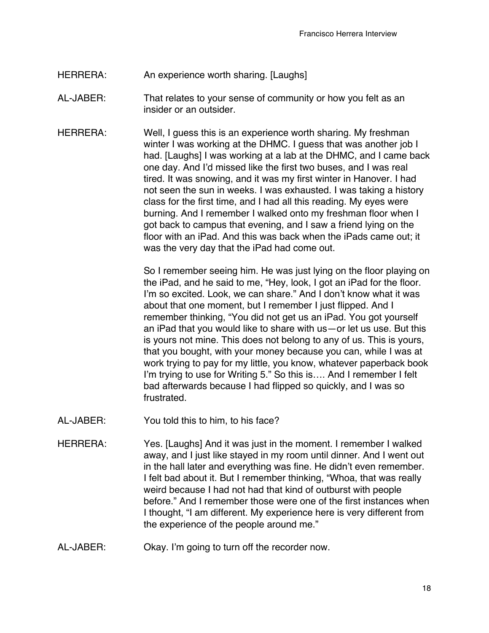## HERRERA: An experience worth sharing. [Laughs]

- AL-JABER: That relates to your sense of community or how you felt as an insider or an outsider.
- HERRERA: Well, I guess this is an experience worth sharing. My freshman winter I was working at the DHMC. I guess that was another job I had. [Laughs] I was working at a lab at the DHMC, and I came back one day. And I'd missed like the first two buses, and I was real tired. It was snowing, and it was my first winter in Hanover. I had not seen the sun in weeks. I was exhausted. I was taking a history class for the first time, and I had all this reading. My eyes were burning. And I remember I walked onto my freshman floor when I got back to campus that evening, and I saw a friend lying on the floor with an iPad. And this was back when the iPads came out; it was the very day that the iPad had come out.

So I remember seeing him. He was just lying on the floor playing on the iPad, and he said to me, "Hey, look, I got an iPad for the floor. I'm so excited. Look, we can share." And I don't know what it was about that one moment, but I remember I just flipped. And I remember thinking, "You did not get us an iPad. You got yourself an iPad that you would like to share with us—or let us use. But this is yours not mine. This does not belong to any of us. This is yours, that you bought, with your money because you can, while I was at work trying to pay for my little, you know, whatever paperback book I'm trying to use for Writing 5." So this is…. And I remember I felt bad afterwards because I had flipped so quickly, and I was so frustrated.

- AL-JABER: You told this to him, to his face?
- HERRERA: Yes. [Laughs] And it was just in the moment. I remember I walked away, and I just like stayed in my room until dinner. And I went out in the hall later and everything was fine. He didn't even remember. I felt bad about it. But I remember thinking, "Whoa, that was really weird because I had not had that kind of outburst with people before." And I remember those were one of the first instances when I thought, "I am different. My experience here is very different from the experience of the people around me."
- AL-JABER: Okay. I'm going to turn off the recorder now.